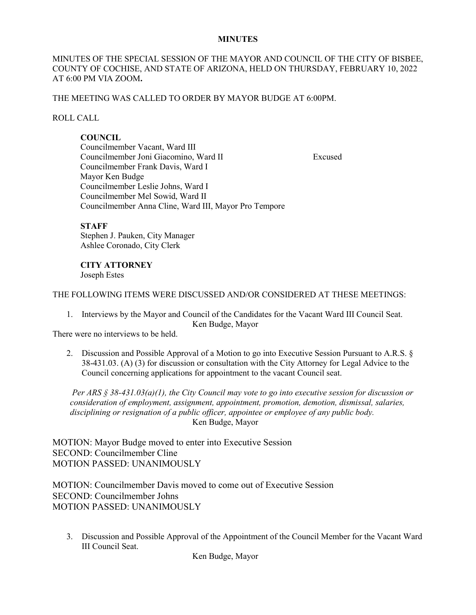### **MINUTES**

# MINUTES OF THE SPECIAL SESSION OF THE MAYOR AND COUNCIL OF THE CITY OF BISBEE, COUNTY OF COCHISE, AND STATE OF ARIZONA, HELD ON THURSDAY, FEBRUARY 10, 2022 AT 6:00 PM VIA ZOOM**.**

## THE MEETING WAS CALLED TO ORDER BY MAYOR BUDGE AT 6:00PM.

## ROLL CALL

# **COUNCIL**

Councilmember Vacant, Ward III Councilmember Joni Giacomino, Ward II Excused Councilmember Frank Davis, Ward I Mayor Ken Budge Councilmember Leslie Johns, Ward I Councilmember Mel Sowid, Ward II Councilmember Anna Cline, Ward III, Mayor Pro Tempore

### **STAFF**

Stephen J. Pauken, City Manager Ashlee Coronado, City Clerk

## **CITY ATTORNEY**

Joseph Estes

## THE FOLLOWING ITEMS WERE DISCUSSED AND/OR CONSIDERED AT THESE MEETINGS:

1. Interviews by the Mayor and Council of the Candidates for the Vacant Ward III Council Seat. Ken Budge, Mayor

There were no interviews to be held.

2. Discussion and Possible Approval of a Motion to go into Executive Session Pursuant to A.R.S. § 38-431.03. (A) (3) for discussion or consultation with the City Attorney for Legal Advice to the Council concerning applications for appointment to the vacant Council seat.

*Per ARS § 38-431.03(a)(1), the City Council may vote to go into executive session for discussion or consideration of employment, assignment, appointment, promotion, demotion, dismissal, salaries, disciplining or resignation of a public officer, appointee or employee of any public body.* Ken Budge, Mayor

MOTION: Mayor Budge moved to enter into Executive Session SECOND: Councilmember Cline MOTION PASSED: UNANIMOUSLY

MOTION: Councilmember Davis moved to come out of Executive Session SECOND: Councilmember Johns MOTION PASSED: UNANIMOUSLY

3. Discussion and Possible Approval of the Appointment of the Council Member for the Vacant Ward III Council Seat.